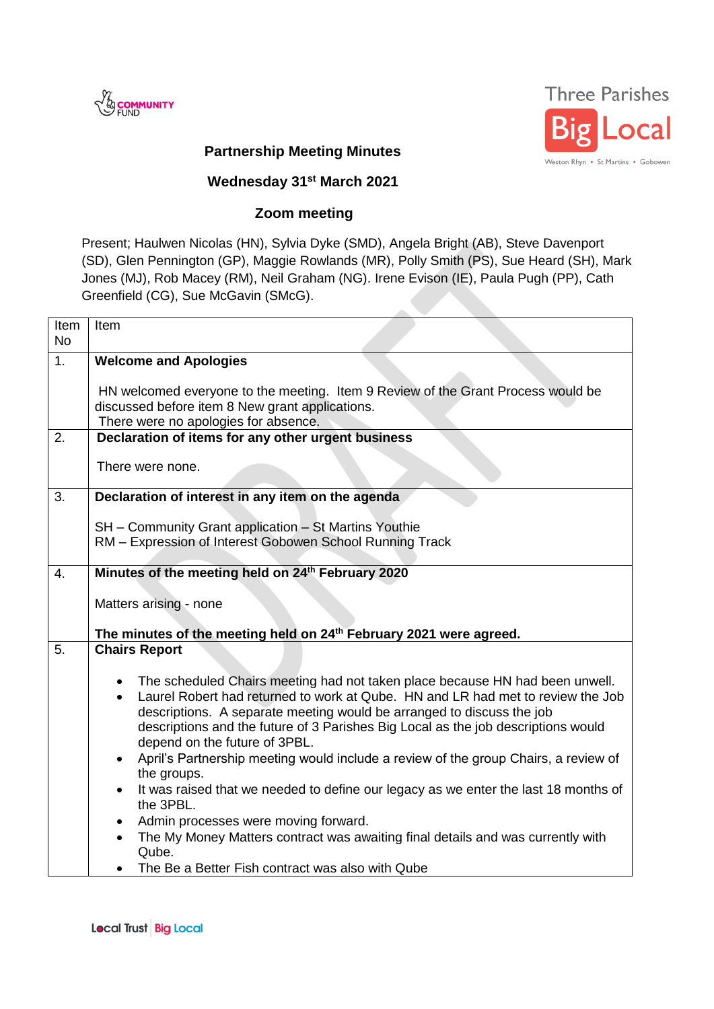



## **Partnership Meeting Minutes**

## **Wednesday 31st March 2021**

## **Zoom meeting**

Present; Haulwen Nicolas (HN), Sylvia Dyke (SMD), Angela Bright (AB), Steve Davenport (SD), Glen Pennington (GP), Maggie Rowlands (MR), Polly Smith (PS), Sue Heard (SH), Mark Jones (MJ), Rob Macey (RM), Neil Graham (NG). Irene Evison (IE), Paula Pugh (PP), Cath Greenfield (CG), Sue McGavin (SMcG).

 $\overline{\mathcal{L}}$ 

| Item<br><b>No</b> | Item                                                                                                            |
|-------------------|-----------------------------------------------------------------------------------------------------------------|
| 1 <sub>1</sub>    | <b>Welcome and Apologies</b>                                                                                    |
|                   |                                                                                                                 |
|                   | HN welcomed everyone to the meeting. Item 9 Review of the Grant Process would be                                |
|                   | discussed before item 8 New grant applications.                                                                 |
| 2.                | There were no apologies for absence.                                                                            |
|                   | Declaration of items for any other urgent business                                                              |
|                   | There were none.                                                                                                |
|                   |                                                                                                                 |
| 3.                | Declaration of interest in any item on the agenda                                                               |
|                   | SH - Community Grant application - St Martins Youthie                                                           |
|                   | RM - Expression of Interest Gobowen School Running Track                                                        |
|                   |                                                                                                                 |
| 4.                | Minutes of the meeting held on 24th February 2020                                                               |
|                   | Matters arising - none                                                                                          |
|                   |                                                                                                                 |
|                   | The minutes of the meeting held on 24th February 2021 were agreed.                                              |
| 5.                | <b>Chairs Report</b>                                                                                            |
|                   | The scheduled Chairs meeting had not taken place because HN had been unwell.<br>$\bullet$                       |
|                   | Laurel Robert had returned to work at Qube. HN and LR had met to review the Job<br>$\bullet$                    |
|                   | descriptions. A separate meeting would be arranged to discuss the job                                           |
|                   | descriptions and the future of 3 Parishes Big Local as the job descriptions would                               |
|                   | depend on the future of 3PBL.                                                                                   |
|                   | April's Partnership meeting would include a review of the group Chairs, a review of<br>$\bullet$<br>the groups. |
|                   | It was raised that we needed to define our legacy as we enter the last 18 months of<br>$\bullet$                |
|                   | the 3PBL.                                                                                                       |
|                   | Admin processes were moving forward.<br>$\bullet$                                                               |
|                   | The My Money Matters contract was awaiting final details and was currently with<br>$\bullet$                    |
|                   | Qube.                                                                                                           |
|                   | The Be a Better Fish contract was also with Qube                                                                |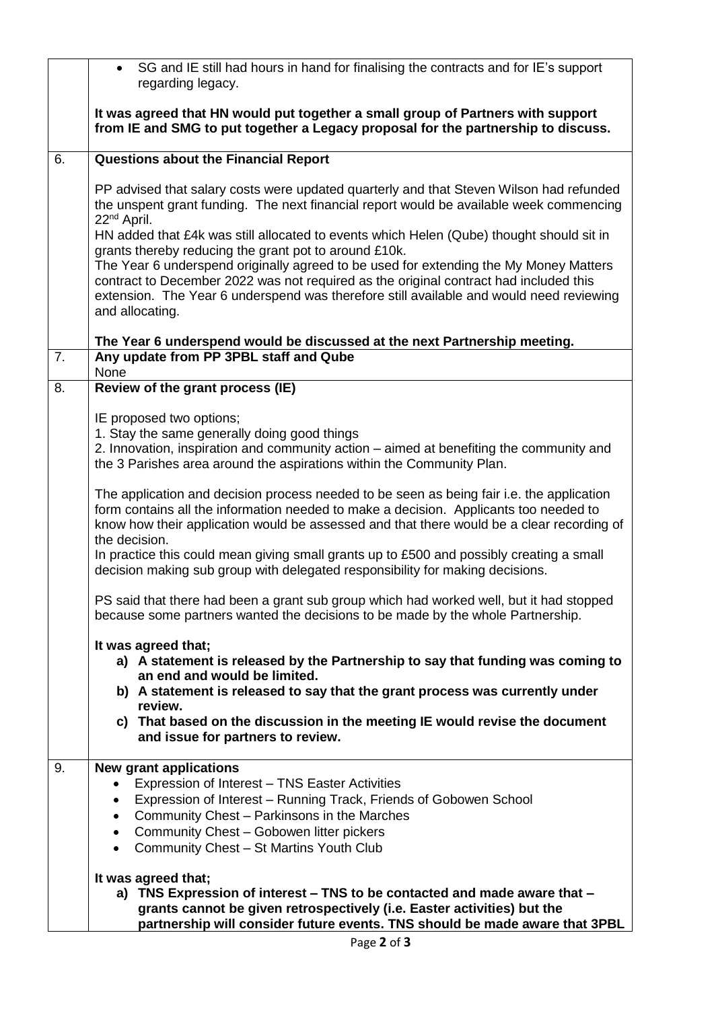|    | SG and IE still had hours in hand for finalising the contracts and for IE's support<br>regarding legacy.                                                                                                                                                                                                                                                                                     |
|----|----------------------------------------------------------------------------------------------------------------------------------------------------------------------------------------------------------------------------------------------------------------------------------------------------------------------------------------------------------------------------------------------|
|    | It was agreed that HN would put together a small group of Partners with support<br>from IE and SMG to put together a Legacy proposal for the partnership to discuss.                                                                                                                                                                                                                         |
| 6. | <b>Questions about the Financial Report</b>                                                                                                                                                                                                                                                                                                                                                  |
|    | PP advised that salary costs were updated quarterly and that Steven Wilson had refunded<br>the unspent grant funding. The next financial report would be available week commencing<br>22 <sup>nd</sup> April.                                                                                                                                                                                |
|    | HN added that £4k was still allocated to events which Helen (Qube) thought should sit in<br>grants thereby reducing the grant pot to around £10k.                                                                                                                                                                                                                                            |
|    | The Year 6 underspend originally agreed to be used for extending the My Money Matters<br>contract to December 2022 was not required as the original contract had included this<br>extension. The Year 6 underspend was therefore still available and would need reviewing<br>and allocating.                                                                                                 |
|    | The Year 6 underspend would be discussed at the next Partnership meeting.                                                                                                                                                                                                                                                                                                                    |
| 7. | Any update from PP 3PBL staff and Qube<br>None                                                                                                                                                                                                                                                                                                                                               |
| 8. | Review of the grant process (IE)                                                                                                                                                                                                                                                                                                                                                             |
|    | IE proposed two options;<br>1. Stay the same generally doing good things<br>2. Innovation, inspiration and community action – aimed at benefiting the community and<br>the 3 Parishes area around the aspirations within the Community Plan.                                                                                                                                                 |
|    | The application and decision process needed to be seen as being fair i.e. the application<br>form contains all the information needed to make a decision. Applicants too needed to<br>know how their application would be assessed and that there would be a clear recording of<br>the decision.<br>In practice this could mean giving small grants up to £500 and possibly creating a small |
|    | decision making sub group with delegated responsibility for making decisions.                                                                                                                                                                                                                                                                                                                |
|    | PS said that there had been a grant sub group which had worked well, but it had stopped<br>because some partners wanted the decisions to be made by the whole Partnership.                                                                                                                                                                                                                   |
|    | It was agreed that;<br>a) A statement is released by the Partnership to say that funding was coming to<br>an end and would be limited.                                                                                                                                                                                                                                                       |
|    | b) A statement is released to say that the grant process was currently under<br>review.                                                                                                                                                                                                                                                                                                      |
|    | c) That based on the discussion in the meeting IE would revise the document<br>and issue for partners to review.                                                                                                                                                                                                                                                                             |
| 9. | <b>New grant applications</b>                                                                                                                                                                                                                                                                                                                                                                |
|    | Expression of Interest - TNS Easter Activities<br>Expression of Interest - Running Track, Friends of Gobowen School                                                                                                                                                                                                                                                                          |
|    | Community Chest - Parkinsons in the Marches<br>$\bullet$                                                                                                                                                                                                                                                                                                                                     |
|    | Community Chest - Gobowen litter pickers<br>$\bullet$<br>Community Chest - St Martins Youth Club<br>$\bullet$                                                                                                                                                                                                                                                                                |
|    | It was agreed that;<br>a) TNS Expression of interest – TNS to be contacted and made aware that –<br>grants cannot be given retrospectively (i.e. Easter activities) but the<br>partnership will consider future events. TNS should be made aware that 3PBL                                                                                                                                   |